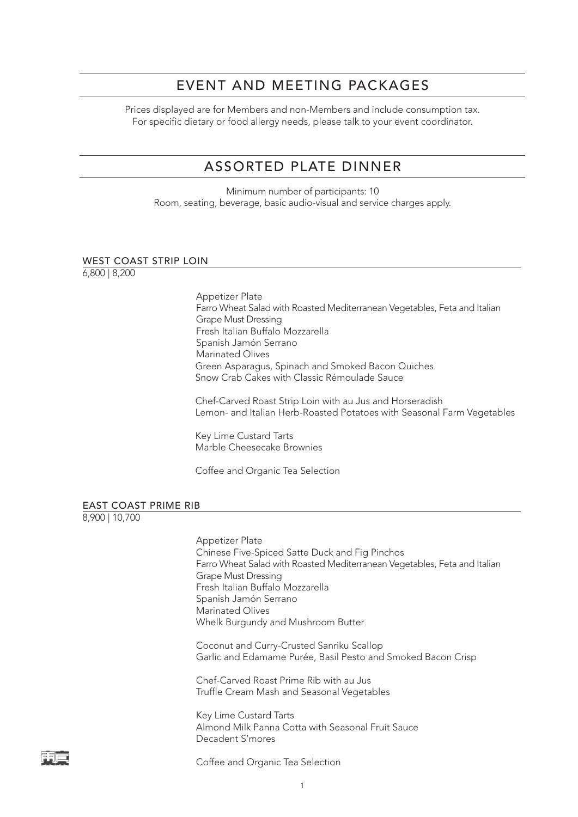### EVENT AND MEETING PACKAGES

Prices displayed are for Members and non-Members and include consumption tax. For specific dietary or food allergy needs, please talk to your event coordinator.

## ASSORTED PLATE DINNER

Minimum number of participants: 10 Room, seating, beverage, basic audio-visual and service charges apply.

#### WEST COAST STRIP LOIN

6,800 | 8,200

Appetizer Plate Farro Wheat Salad with Roasted Mediterranean Vegetables, Feta and Italian Grape Must Dressing Fresh Italian Buffalo Mozzarella Spanish Jamón Serrano Marinated Olives Green Asparagus, Spinach and Smoked Bacon Quiches Snow Crab Cakes with Classic Rémoulade Sauce

Chef-Carved Roast Strip Loin with au Jus and Horseradish Lemon- and Italian Herb-Roasted Potatoes with Seasonal Farm Vegetables

Key Lime Custard Tarts Marble Cheesecake Brownies

Coffee and Organic Tea Selection

### EAST COAST PRIME RIB

8,900 | 10,700

Appetizer Plate Chinese Five-Spiced Satte Duck and Fig Pinchos Farro Wheat Salad with Roasted Mediterranean Vegetables, Feta and Italian Grape Must Dressing Fresh Italian Buffalo Mozzarella Spanish Jamón Serrano Marinated Olives Whelk Burgundy and Mushroom Butter Coconut and Curry-Crusted Sanriku Scallop Garlic and Edamame Purée, Basil Pesto and Smoked Bacon Crisp Chef-Carved Roast Prime Rib with au Jus Truffle Cream Mash and Seasonal Vegetables

Key Lime Custard Tarts Almond Milk Panna Cotta with Seasonal Fruit Sauce Decadent S'mores

Coffee and Organic Tea Selection